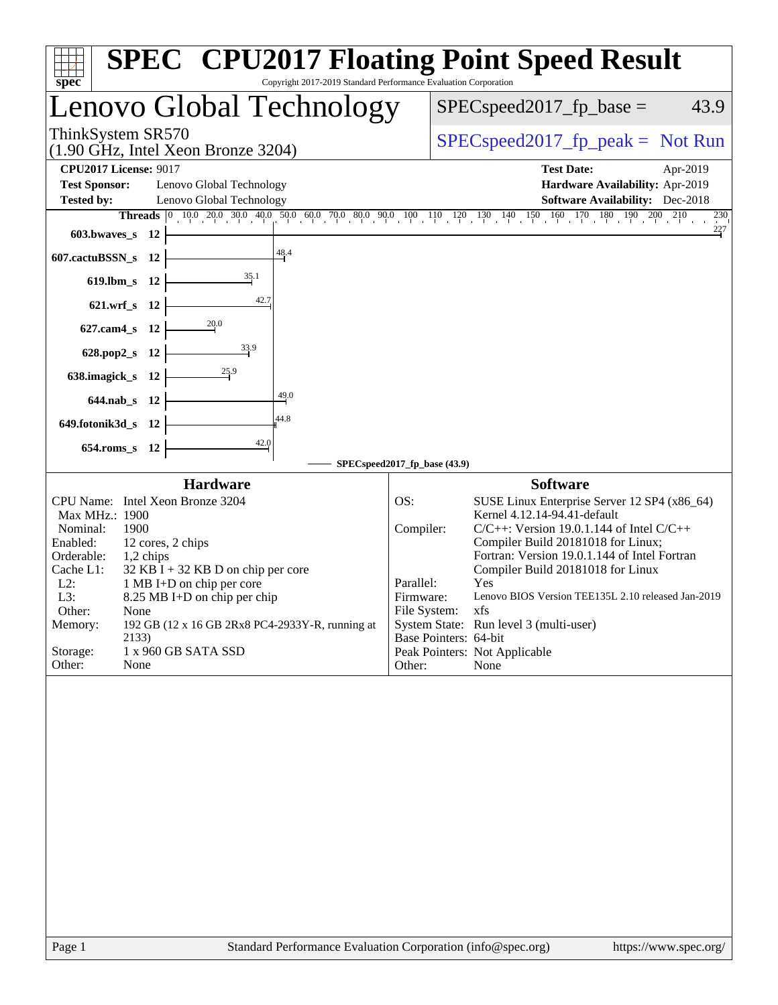| $spec^*$                                                                                                                                                                                                                                                                                                                                                                                                                               | <b>SPEC<sup>®</sup></b> CPU2017 Floating Point Speed Result<br>Copyright 2017-2019 Standard Performance Evaluation Corporation                                                                                                                                                                                                                                                                                                                                                                                                   |
|----------------------------------------------------------------------------------------------------------------------------------------------------------------------------------------------------------------------------------------------------------------------------------------------------------------------------------------------------------------------------------------------------------------------------------------|----------------------------------------------------------------------------------------------------------------------------------------------------------------------------------------------------------------------------------------------------------------------------------------------------------------------------------------------------------------------------------------------------------------------------------------------------------------------------------------------------------------------------------|
| Lenovo Global Technology                                                                                                                                                                                                                                                                                                                                                                                                               | $SPEC speed2017_fp\_base =$<br>43.9                                                                                                                                                                                                                                                                                                                                                                                                                                                                                              |
| ThinkSystem SR570<br>$(1.90 \text{ GHz}, \text{Intel Xeon Bronze } 3204)$                                                                                                                                                                                                                                                                                                                                                              | $SPEC speed2017_fp\_peak = Not Run$                                                                                                                                                                                                                                                                                                                                                                                                                                                                                              |
| <b>CPU2017 License: 9017</b><br><b>Test Sponsor:</b><br>Lenovo Global Technology<br><b>Tested by:</b><br>Lenovo Global Technology<br>603.bwaves_s 12<br>48.4<br>607.cactuBSSN_s 12                                                                                                                                                                                                                                                     | <b>Test Date:</b><br>Apr-2019<br>Hardware Availability: Apr-2019<br><b>Software Availability:</b> Dec-2018<br>Threads 0 10.0 20.0 30.0 40.0 50.0 60.0 70.0 80.0 90.0 100 110 120 130 140 150 160 170 180 190 200 210<br>230<br>$^{227}$                                                                                                                                                                                                                                                                                          |
| 35.1<br>619.lbm_s 12<br>42.7<br>621.wrf_s 12<br>20.0<br>$627$ .cam $4$ <sub>_S</sub><br>- 12<br>33.9<br>628.pop2_s<br>- 12<br>25.9<br>638.imagick_s<br>- 12<br>49.0<br>644.nab s 12<br>44.8<br>649.fotonik3d_s<br>- 12<br>42.0<br>654.roms_s 12                                                                                                                                                                                        | SPECspeed2017_fp_base (43.9)                                                                                                                                                                                                                                                                                                                                                                                                                                                                                                     |
| <b>Hardware</b><br>CPU Name: Intel Xeon Bronze 3204<br>Max MHz.: 1900<br>Nominal:<br>1900<br>Enabled:<br>12 cores, 2 chips<br>Orderable:<br>1,2 chips<br>Cache L1:<br>$32$ KB I + 32 KB D on chip per core<br>$L2$ :<br>1 MB I+D on chip per core<br>L3:<br>8.25 MB I+D on chip per chip<br>Other:<br>None<br>192 GB (12 x 16 GB 2Rx8 PC4-2933Y-R, running at<br>Memory:<br>2133)<br>Storage:<br>1 x 960 GB SATA SSD<br>Other:<br>None | <b>Software</b><br>SUSE Linux Enterprise Server 12 SP4 (x86_64)<br>OS:<br>Kernel 4.12.14-94.41-default<br>Compiler:<br>$C/C++$ : Version 19.0.1.144 of Intel $C/C++$<br>Compiler Build 20181018 for Linux;<br>Fortran: Version 19.0.1.144 of Intel Fortran<br>Compiler Build 20181018 for Linux<br>Parallel:<br>Yes<br>Lenovo BIOS Version TEE135L 2.10 released Jan-2019<br>Firmware:<br>File System: xfs<br>System State: Run level 3 (multi-user)<br>Base Pointers: 64-bit<br>Peak Pointers: Not Applicable<br>None<br>Other: |
| $D_{\alpha\alpha\alpha}$ 1                                                                                                                                                                                                                                                                                                                                                                                                             | Standard Darformange Evaluation Corneration (info@spee.org)<br>http://www.                                                                                                                                                                                                                                                                                                                                                                                                                                                       |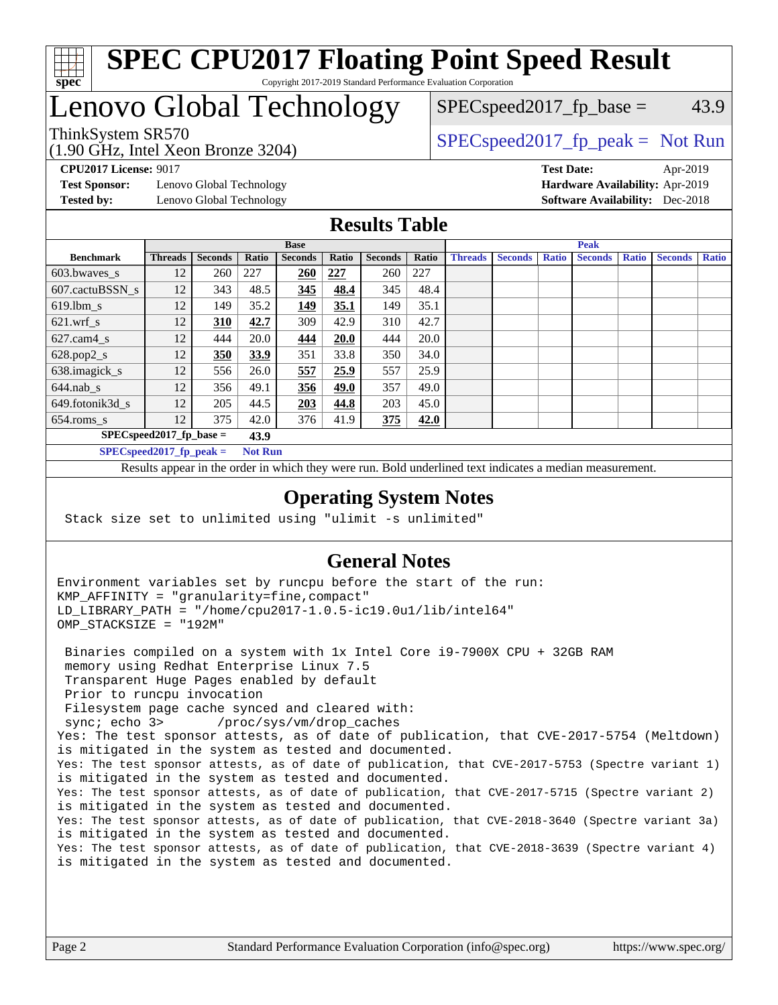

## **[SPEC CPU2017 Floating Point Speed Result](http://www.spec.org/auto/cpu2017/Docs/result-fields.html#SPECCPU2017FloatingPointSpeedResult)** Copyright 2017-2019 Standard Performance Evaluation Corporation

# Lenovo Global Technology

(1.90 GHz, Intel Xeon Bronze 3204)

ThinkSystem SR570<br>  $\begin{array}{r} \text{SPEC speed2017\_fp\_peak = Not Run} \\ \text{SPEC speed2017\_fp\_peak = Not Run} \end{array}$  $SPEC speed2017_fp\_base = 43.9$ 

**[Test Sponsor:](http://www.spec.org/auto/cpu2017/Docs/result-fields.html#TestSponsor)** Lenovo Global Technology **[Hardware Availability:](http://www.spec.org/auto/cpu2017/Docs/result-fields.html#HardwareAvailability)** Apr-2019 **[Tested by:](http://www.spec.org/auto/cpu2017/Docs/result-fields.html#Testedby)** Lenovo Global Technology **[Software Availability:](http://www.spec.org/auto/cpu2017/Docs/result-fields.html#SoftwareAvailability)** Dec-2018

**[CPU2017 License:](http://www.spec.org/auto/cpu2017/Docs/result-fields.html#CPU2017License)** 9017 **[Test Date:](http://www.spec.org/auto/cpu2017/Docs/result-fields.html#TestDate)** Apr-2019

## **[Results Table](http://www.spec.org/auto/cpu2017/Docs/result-fields.html#ResultsTable)**

|                                    | <b>Base</b>    |                |                |                | <b>Peak</b> |                |       |                |                |              |                |              |                |              |
|------------------------------------|----------------|----------------|----------------|----------------|-------------|----------------|-------|----------------|----------------|--------------|----------------|--------------|----------------|--------------|
| <b>Benchmark</b>                   | <b>Threads</b> | <b>Seconds</b> | Ratio          | <b>Seconds</b> | Ratio       | <b>Seconds</b> | Ratio | <b>Threads</b> | <b>Seconds</b> | <b>Ratio</b> | <b>Seconds</b> | <b>Ratio</b> | <b>Seconds</b> | <b>Ratio</b> |
| $603.bwaves$ s                     | 12             | 260            | 227            | 260            | 227         | 260            | 227   |                |                |              |                |              |                |              |
| 607.cactuBSSN s                    | 12             | 343            | 48.5           | 345            | 48.4        | 345            | 48.4  |                |                |              |                |              |                |              |
| $619.1$ bm s                       | 12             | 149            | 35.2           | <u> 149</u>    | 35.1        | 149            | 35.1  |                |                |              |                |              |                |              |
| $621.wrf$ s                        | 12             | 310            | 42.7           | 309            | 42.9        | 310            | 42.7  |                |                |              |                |              |                |              |
| $627$ .cam $4 \text{ s}$           | 12             | 444            | 20.0           | 444            | 20.0        | 444            | 20.0  |                |                |              |                |              |                |              |
| $628.pop2_s$                       | 12             | 350            | 33.9           | 351            | 33.8        | 350            | 34.0  |                |                |              |                |              |                |              |
| 638.imagick_s                      | 12             | 556            | 26.0           | 557            | 25.9        | 557            | 25.9  |                |                |              |                |              |                |              |
| $644$ .nab s                       | 12             | 356            | 49.1           | 356            | 49.0        | 357            | 49.0  |                |                |              |                |              |                |              |
| 649.fotonik3d s                    | 12             | 205            | 44.5           | <b>203</b>     | 44.8        | 203            | 45.0  |                |                |              |                |              |                |              |
| $654$ .roms s                      | 12             | 375            | 42.0           | 376            | 41.9        | 375            | 42.0  |                |                |              |                |              |                |              |
| $SPECspeed2017_fp\_base =$<br>43.9 |                |                |                |                |             |                |       |                |                |              |                |              |                |              |
| $SPECspeed2017_fp\_peak =$         |                |                | <b>Not Run</b> |                |             |                |       |                |                |              |                |              |                |              |

Results appear in the [order in which they were run.](http://www.spec.org/auto/cpu2017/Docs/result-fields.html#RunOrder) Bold underlined text [indicates a median measurement](http://www.spec.org/auto/cpu2017/Docs/result-fields.html#Median).

## **[Operating System Notes](http://www.spec.org/auto/cpu2017/Docs/result-fields.html#OperatingSystemNotes)**

Stack size set to unlimited using "ulimit -s unlimited"

## **[General Notes](http://www.spec.org/auto/cpu2017/Docs/result-fields.html#GeneralNotes)**

Environment variables set by runcpu before the start of the run: KMP\_AFFINITY = "granularity=fine,compact" LD\_LIBRARY\_PATH = "/home/cpu2017-1.0.5-ic19.0u1/lib/intel64" OMP\_STACKSIZE = "192M"

 Binaries compiled on a system with 1x Intel Core i9-7900X CPU + 32GB RAM memory using Redhat Enterprise Linux 7.5 Transparent Huge Pages enabled by default Prior to runcpu invocation Filesystem page cache synced and cleared with: sync; echo 3> /proc/sys/vm/drop\_caches Yes: The test sponsor attests, as of date of publication, that CVE-2017-5754 (Meltdown) is mitigated in the system as tested and documented. Yes: The test sponsor attests, as of date of publication, that CVE-2017-5753 (Spectre variant 1) is mitigated in the system as tested and documented. Yes: The test sponsor attests, as of date of publication, that CVE-2017-5715 (Spectre variant 2) is mitigated in the system as tested and documented. Yes: The test sponsor attests, as of date of publication, that CVE-2018-3640 (Spectre variant 3a) is mitigated in the system as tested and documented. Yes: The test sponsor attests, as of date of publication, that CVE-2018-3639 (Spectre variant 4) is mitigated in the system as tested and documented.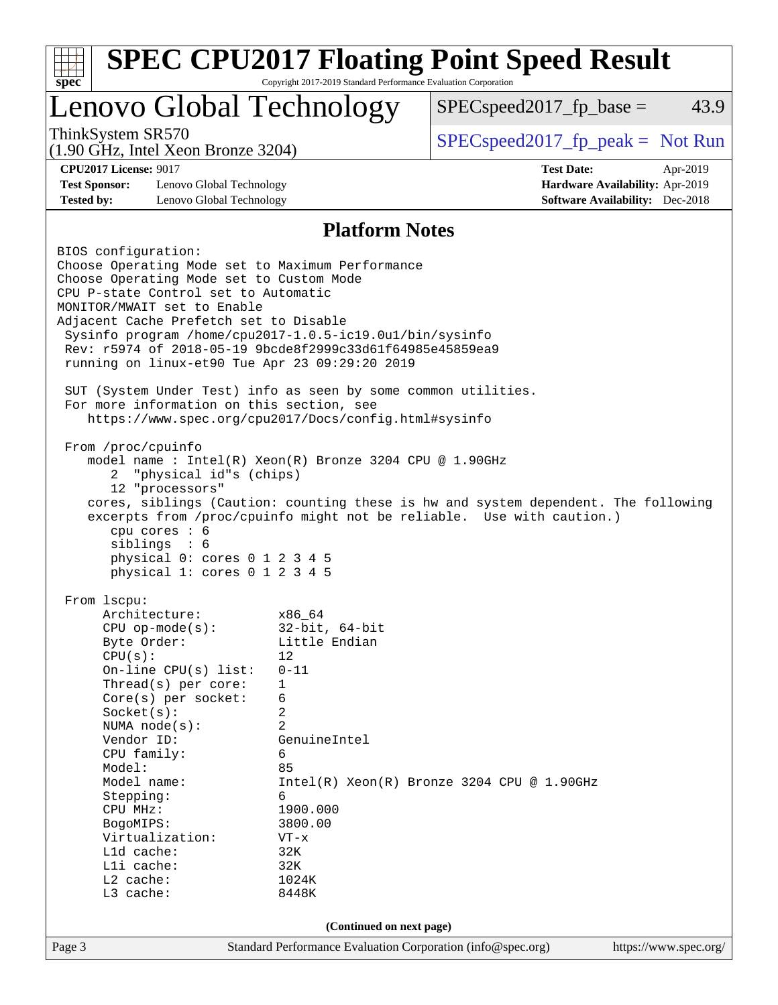| Lenovo Global Technology                                                      |                                                                                         | $SPEC speed2017_fp\_base =$                                                        | 43.9                  |
|-------------------------------------------------------------------------------|-----------------------------------------------------------------------------------------|------------------------------------------------------------------------------------|-----------------------|
| ThinkSystem SR570<br>$(1.90 \text{ GHz}, \text{Intel Xeon Bronze } 3204)$     |                                                                                         | $SPEC speed2017rfp peak = Not Run$                                                 |                       |
| <b>CPU2017 License: 9017</b>                                                  |                                                                                         | <b>Test Date:</b>                                                                  | Apr-2019              |
| <b>Test Sponsor:</b><br>Lenovo Global Technology                              |                                                                                         | Hardware Availability: Apr-2019                                                    |                       |
| <b>Tested by:</b><br>Lenovo Global Technology                                 |                                                                                         | <b>Software Availability:</b> Dec-2018                                             |                       |
|                                                                               | <b>Platform Notes</b>                                                                   |                                                                                    |                       |
| BIOS configuration:                                                           |                                                                                         |                                                                                    |                       |
| Choose Operating Mode set to Maximum Performance                              |                                                                                         |                                                                                    |                       |
| Choose Operating Mode set to Custom Mode                                      |                                                                                         |                                                                                    |                       |
| CPU P-state Control set to Automatic<br>MONITOR/MWAIT set to Enable           |                                                                                         |                                                                                    |                       |
| Adjacent Cache Prefetch set to Disable                                        |                                                                                         |                                                                                    |                       |
| Sysinfo program /home/cpu2017-1.0.5-ic19.0ul/bin/sysinfo                      |                                                                                         |                                                                                    |                       |
| Rev: r5974 of 2018-05-19 9bcde8f2999c33d61f64985e45859ea9                     |                                                                                         |                                                                                    |                       |
| running on linux-et90 Tue Apr 23 09:29:20 2019                                |                                                                                         |                                                                                    |                       |
| SUT (System Under Test) info as seen by some common utilities.                |                                                                                         |                                                                                    |                       |
| For more information on this section, see                                     |                                                                                         |                                                                                    |                       |
| https://www.spec.org/cpu2017/Docs/config.html#sysinfo                         |                                                                                         |                                                                                    |                       |
|                                                                               |                                                                                         |                                                                                    |                       |
| From /proc/cpuinfo<br>model name : Intel(R) Xeon(R) Bronze 3204 CPU @ 1.90GHz |                                                                                         |                                                                                    |                       |
| "physical id"s (chips)<br>2                                                   |                                                                                         |                                                                                    |                       |
| 12 "processors"                                                               |                                                                                         |                                                                                    |                       |
|                                                                               |                                                                                         | cores, siblings (Caution: counting these is hw and system dependent. The following |                       |
|                                                                               |                                                                                         | excerpts from /proc/cpuinfo might not be reliable. Use with caution.)              |                       |
| cpu cores : 6<br>sibling: 6                                                   |                                                                                         |                                                                                    |                       |
| physical 0: cores 0 1 2 3 4 5                                                 |                                                                                         |                                                                                    |                       |
| physical 1: cores 0 1 2 3 4 5                                                 |                                                                                         |                                                                                    |                       |
| From lscpu:                                                                   |                                                                                         |                                                                                    |                       |
| Architecture:                                                                 | x86_64                                                                                  |                                                                                    |                       |
| $CPU$ op-mode( $s$ ):                                                         | $32$ -bit, $64$ -bit                                                                    |                                                                                    |                       |
| Byte Order:                                                                   | Little Endian                                                                           |                                                                                    |                       |
| CPU(s):                                                                       | 12                                                                                      |                                                                                    |                       |
| On-line CPU(s) list:<br>Thread( $s$ ) per core:                               | $0 - 11$<br>$\mathbf 1$                                                                 |                                                                                    |                       |
| Core(s) per socket:                                                           | 6                                                                                       |                                                                                    |                       |
| Socket(s):                                                                    |                                                                                         |                                                                                    |                       |
|                                                                               | 2                                                                                       |                                                                                    |                       |
| NUMA node(s):                                                                 | 2                                                                                       |                                                                                    |                       |
| Vendor ID:                                                                    | GenuineIntel                                                                            |                                                                                    |                       |
| CPU family:                                                                   | 6                                                                                       |                                                                                    |                       |
| Model:                                                                        | 85                                                                                      |                                                                                    |                       |
| Model name:                                                                   | 6                                                                                       | $Intel(R) Xeon(R) Bronze 3204 CPU @ 1.90GHz$                                       |                       |
| Stepping:<br>CPU MHz:                                                         | 1900.000                                                                                |                                                                                    |                       |
| BogoMIPS:                                                                     | 3800.00                                                                                 |                                                                                    |                       |
| Virtualization:                                                               | $VT - x$                                                                                |                                                                                    |                       |
| L1d cache:                                                                    | 32K                                                                                     |                                                                                    |                       |
| Lli cache:                                                                    | 32K                                                                                     |                                                                                    |                       |
| L2 cache:<br>L3 cache:                                                        | 1024K<br>8448K                                                                          |                                                                                    |                       |
|                                                                               |                                                                                         |                                                                                    |                       |
| Page 3                                                                        | (Continued on next page)<br>Standard Performance Evaluation Corporation (info@spec.org) |                                                                                    | https://www.spec.org/ |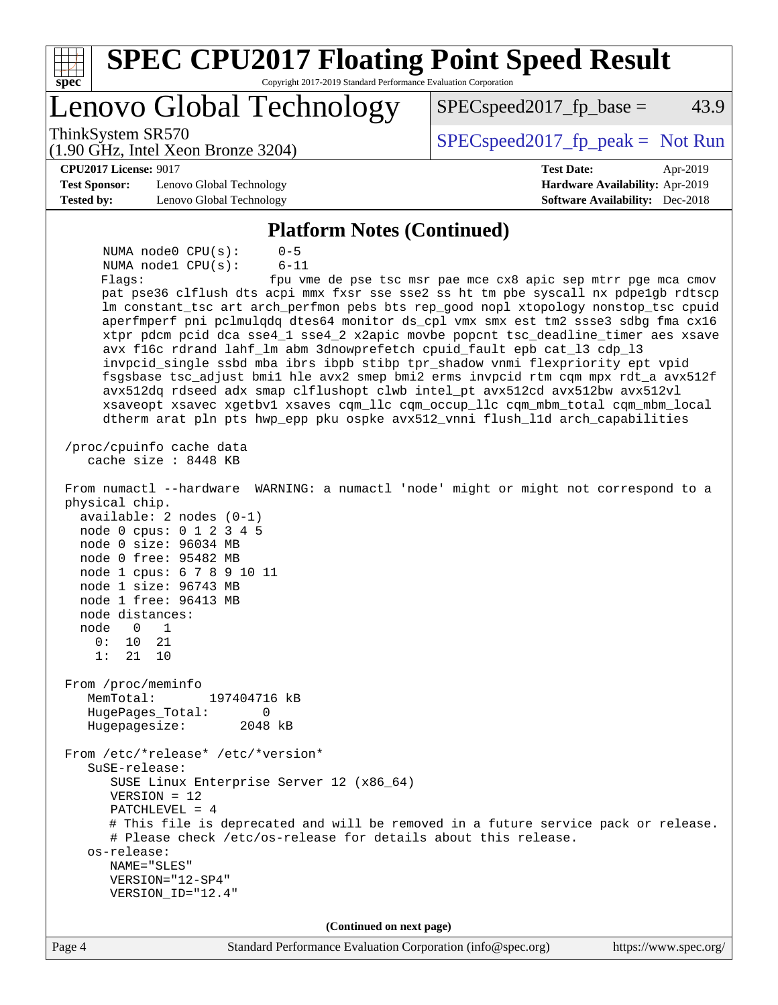| <b>SPEC CPU2017 Floating Point Speed Result</b><br>spec<br>Copyright 2017-2019 Standard Performance Evaluation Corporation<br>Lenovo Global Technology<br>43.9<br>$SPEC speed2017fp base =$<br>ThinkSystem SR570<br>$SPEC speed2017fr peak = Not Run$<br>$(1.90 \text{ GHz}, \text{Intel Xeon Bronze } 3204)$<br><b>CPU2017 License: 9017</b><br><b>Test Date:</b><br>Apr-2019<br><b>Test Sponsor:</b><br>Lenovo Global Technology<br>Hardware Availability: Apr-2019<br><b>Tested by:</b><br>Lenovo Global Technology<br><b>Software Availability:</b> Dec-2018<br><b>Platform Notes (Continued)</b><br>$0 - 5$<br>NUMA $node0$ $CPU(s)$ :<br>NUMA nodel CPU(s):<br>$6 - 11$<br>Flags:<br>fpu vme de pse tsc msr pae mce cx8 apic sep mtrr pge mca cmov<br>pat pse36 clflush dts acpi mmx fxsr sse sse2 ss ht tm pbe syscall nx pdpelgb rdtscp<br>lm constant_tsc art arch_perfmon pebs bts rep_good nopl xtopology nonstop_tsc cpuid                                                                                                                                                                                                                                                                                                                                                                                                                                                                                                                                                                                                                                                                   |
|----------------------------------------------------------------------------------------------------------------------------------------------------------------------------------------------------------------------------------------------------------------------------------------------------------------------------------------------------------------------------------------------------------------------------------------------------------------------------------------------------------------------------------------------------------------------------------------------------------------------------------------------------------------------------------------------------------------------------------------------------------------------------------------------------------------------------------------------------------------------------------------------------------------------------------------------------------------------------------------------------------------------------------------------------------------------------------------------------------------------------------------------------------------------------------------------------------------------------------------------------------------------------------------------------------------------------------------------------------------------------------------------------------------------------------------------------------------------------------------------------------------------------------------------------------------------------------------------------------|
|                                                                                                                                                                                                                                                                                                                                                                                                                                                                                                                                                                                                                                                                                                                                                                                                                                                                                                                                                                                                                                                                                                                                                                                                                                                                                                                                                                                                                                                                                                                                                                                                          |
|                                                                                                                                                                                                                                                                                                                                                                                                                                                                                                                                                                                                                                                                                                                                                                                                                                                                                                                                                                                                                                                                                                                                                                                                                                                                                                                                                                                                                                                                                                                                                                                                          |
|                                                                                                                                                                                                                                                                                                                                                                                                                                                                                                                                                                                                                                                                                                                                                                                                                                                                                                                                                                                                                                                                                                                                                                                                                                                                                                                                                                                                                                                                                                                                                                                                          |
|                                                                                                                                                                                                                                                                                                                                                                                                                                                                                                                                                                                                                                                                                                                                                                                                                                                                                                                                                                                                                                                                                                                                                                                                                                                                                                                                                                                                                                                                                                                                                                                                          |
|                                                                                                                                                                                                                                                                                                                                                                                                                                                                                                                                                                                                                                                                                                                                                                                                                                                                                                                                                                                                                                                                                                                                                                                                                                                                                                                                                                                                                                                                                                                                                                                                          |
|                                                                                                                                                                                                                                                                                                                                                                                                                                                                                                                                                                                                                                                                                                                                                                                                                                                                                                                                                                                                                                                                                                                                                                                                                                                                                                                                                                                                                                                                                                                                                                                                          |
|                                                                                                                                                                                                                                                                                                                                                                                                                                                                                                                                                                                                                                                                                                                                                                                                                                                                                                                                                                                                                                                                                                                                                                                                                                                                                                                                                                                                                                                                                                                                                                                                          |
| aperfmperf pni pclmulqdq dtes64 monitor ds_cpl vmx smx est tm2 ssse3 sdbg fma cx16<br>xtpr pdcm pcid dca sse4_1 sse4_2 x2apic movbe popcnt tsc_deadline_timer aes xsave<br>avx f16c rdrand lahf_lm abm 3dnowprefetch cpuid_fault epb cat_13 cdp_13<br>invpcid_single ssbd mba ibrs ibpb stibp tpr_shadow vnmi flexpriority ept vpid<br>fsgsbase tsc_adjust bmil hle avx2 smep bmi2 erms invpcid rtm cqm mpx rdt_a avx512f<br>avx512dq rdseed adx smap clflushopt clwb intel_pt avx512cd avx512bw avx512vl<br>xsaveopt xsavec xgetbvl xsaves cqm_llc cqm_occup_llc cqm_mbm_total cqm_mbm_local<br>dtherm arat pln pts hwp_epp pku ospke avx512_vnni flush_lld arch_capabilities<br>/proc/cpuinfo cache data<br>cache size : 8448 KB<br>From numactl --hardware WARNING: a numactl 'node' might or might not correspond to a<br>physical chip.<br>$available: 2 nodes (0-1)$<br>node 0 cpus: 0 1 2 3 4 5<br>node 0 size: 96034 MB<br>node 0 free: 95482 MB<br>node 1 cpus: 6 7 8 9 10 11<br>node 1 size: 96743 MB<br>node 1 free: 96413 MB<br>node distances:<br>node<br>$\Omega$<br>1<br>0:<br>10<br>21<br>1:<br>21<br>10<br>From /proc/meminfo<br>MemTotal:<br>197404716 kB<br>0<br>HugePages_Total:<br>Hugepagesize:<br>2048 kB<br>From /etc/*release* /etc/*version*<br>SuSE-release:<br>SUSE Linux Enterprise Server 12 (x86_64)<br>$VERSION = 12$<br>$PATCHLEVEL = 4$<br># This file is deprecated and will be removed in a future service pack or release.<br># Please check /etc/os-release for details about this release.<br>os-release:<br>NAME="SLES"<br>VERSION="12-SP4"<br>VERSION_ID="12.4" |
| (Continued on next page)                                                                                                                                                                                                                                                                                                                                                                                                                                                                                                                                                                                                                                                                                                                                                                                                                                                                                                                                                                                                                                                                                                                                                                                                                                                                                                                                                                                                                                                                                                                                                                                 |
| Standard Performance Evaluation Corporation (info@spec.org)<br>Page 4<br>https://www.spec.org/                                                                                                                                                                                                                                                                                                                                                                                                                                                                                                                                                                                                                                                                                                                                                                                                                                                                                                                                                                                                                                                                                                                                                                                                                                                                                                                                                                                                                                                                                                           |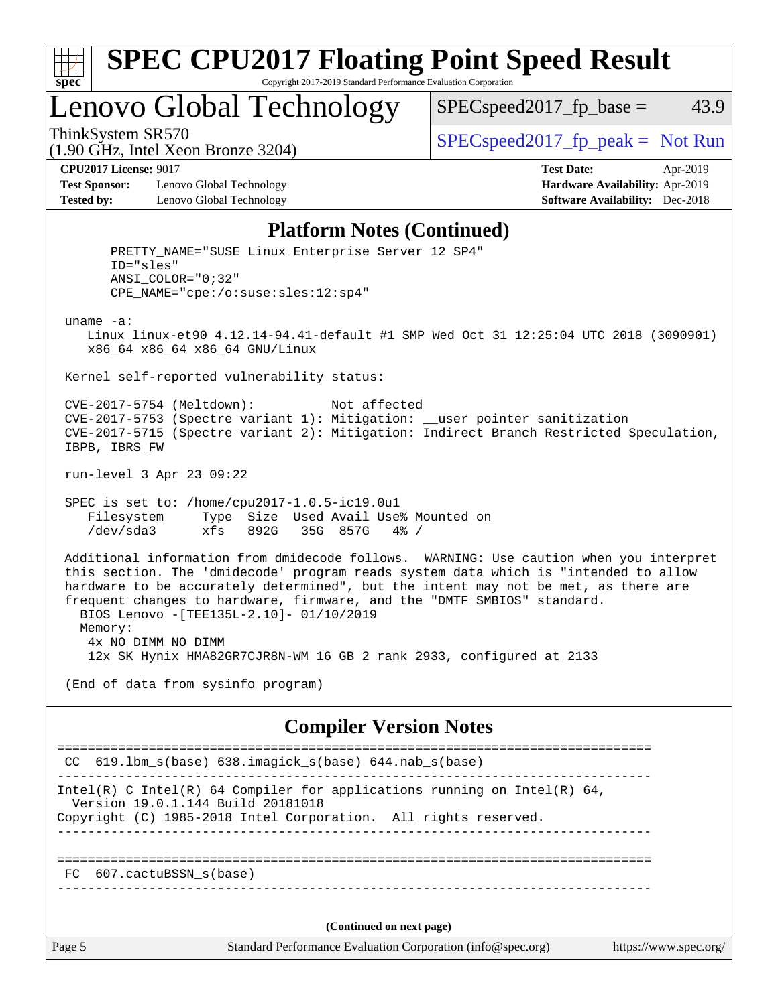

## **[SPEC CPU2017 Floating Point Speed Result](http://www.spec.org/auto/cpu2017/Docs/result-fields.html#SPECCPU2017FloatingPointSpeedResult)** Copyright 2017-2019 Standard Performance Evaluation Corporation

Lenovo Global Technology

 $SPEC speed2017<sub>fp</sub> base = 43.9$ 

(1.90 GHz, Intel Xeon Bronze 3204)

ThinkSystem SR570<br>  $(1.00 \text{ GHz. Intel Yes} \times 2204)$  [SPECspeed2017\\_fp\\_peak =](http://www.spec.org/auto/cpu2017/Docs/result-fields.html#SPECspeed2017fppeak) Not Run

**[Test Sponsor:](http://www.spec.org/auto/cpu2017/Docs/result-fields.html#TestSponsor)** Lenovo Global Technology **[Hardware Availability:](http://www.spec.org/auto/cpu2017/Docs/result-fields.html#HardwareAvailability)** Apr-2019 **[Tested by:](http://www.spec.org/auto/cpu2017/Docs/result-fields.html#Testedby)** Lenovo Global Technology **[Software Availability:](http://www.spec.org/auto/cpu2017/Docs/result-fields.html#SoftwareAvailability)** Dec-2018

**[CPU2017 License:](http://www.spec.org/auto/cpu2017/Docs/result-fields.html#CPU2017License)** 9017 **[Test Date:](http://www.spec.org/auto/cpu2017/Docs/result-fields.html#TestDate)** Apr-2019

## **[Platform Notes \(Continued\)](http://www.spec.org/auto/cpu2017/Docs/result-fields.html#PlatformNotes)**

Page 5 Standard Performance Evaluation Corporation [\(info@spec.org\)](mailto:info@spec.org) <https://www.spec.org/> PRETTY\_NAME="SUSE Linux Enterprise Server 12 SP4" ID="sles" ANSI\_COLOR="0;32" CPE\_NAME="cpe:/o:suse:sles:12:sp4" uname -a: Linux linux-et90 4.12.14-94.41-default #1 SMP Wed Oct 31 12:25:04 UTC 2018 (3090901) x86\_64 x86\_64 x86\_64 GNU/Linux Kernel self-reported vulnerability status: CVE-2017-5754 (Meltdown): Not affected CVE-2017-5753 (Spectre variant 1): Mitigation: \_\_user pointer sanitization CVE-2017-5715 (Spectre variant 2): Mitigation: Indirect Branch Restricted Speculation, IBPB, IBRS\_FW run-level 3 Apr 23 09:22 SPEC is set to: /home/cpu2017-1.0.5-ic19.0u1 Filesystem Type Size Used Avail Use% Mounted on /dev/sda3 xfs 892G 35G 857G 4% / Additional information from dmidecode follows. WARNING: Use caution when you interpret this section. The 'dmidecode' program reads system data which is "intended to allow hardware to be accurately determined", but the intent may not be met, as there are frequent changes to hardware, firmware, and the "DMTF SMBIOS" standard. BIOS Lenovo -[TEE135L-2.10]- 01/10/2019 Memory: 4x NO DIMM NO DIMM 12x SK Hynix HMA82GR7CJR8N-WM 16 GB 2 rank 2933, configured at 2133 (End of data from sysinfo program) **[Compiler Version Notes](http://www.spec.org/auto/cpu2017/Docs/result-fields.html#CompilerVersionNotes)** ============================================================================== CC 619.lbm\_s(base) 638.imagick\_s(base) 644.nab\_s(base) ------------------------------------------------------------------------------ Intel(R) C Intel(R) 64 Compiler for applications running on Intel(R)  $64$ , Version 19.0.1.144 Build 20181018 Copyright (C) 1985-2018 Intel Corporation. All rights reserved. ------------------------------------------------------------------------------ ============================================================================== FC 607.cactuBSSN\_s(base) ------------------------------------------------------------------------------ **(Continued on next page)**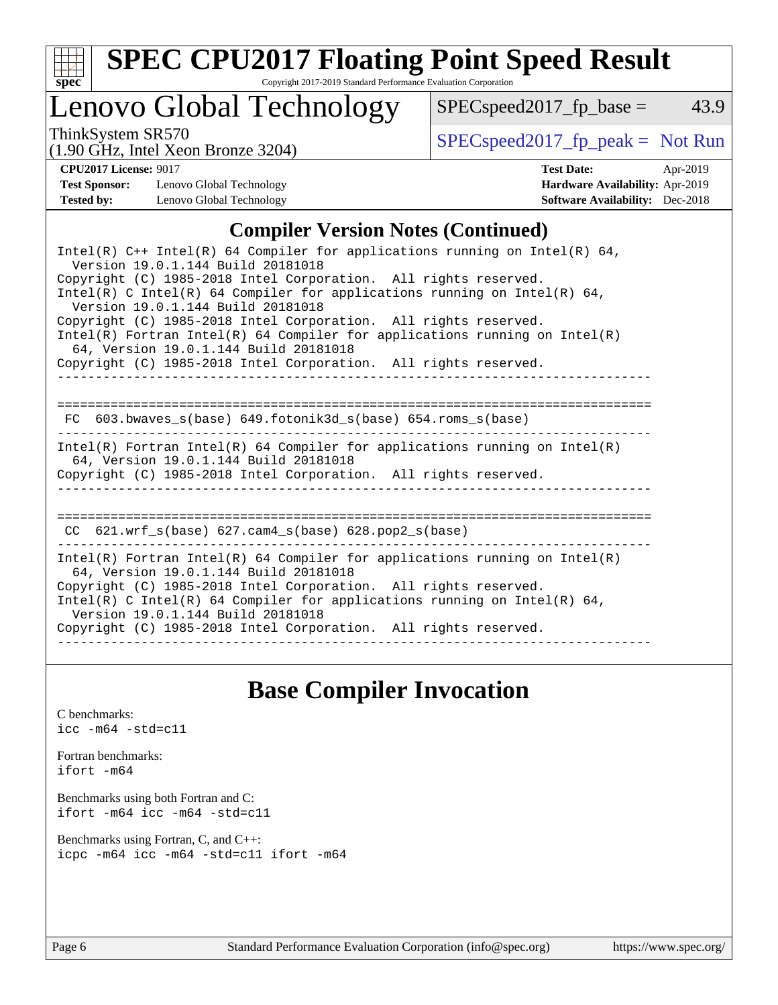

# **[SPEC CPU2017 Floating Point Speed Result](http://www.spec.org/auto/cpu2017/Docs/result-fields.html#SPECCPU2017FloatingPointSpeedResult)**

Copyright 2017-2019 Standard Performance Evaluation Corporation

# Lenovo Global Technology

ThinkSystem SR570<br>(1.00 GHz, Intel Yogn Bronze 3204) [SPECspeed2017\\_fp\\_peak =](http://www.spec.org/auto/cpu2017/Docs/result-fields.html#SPECspeed2017fppeak) Not Run

 $SPEC speed2017_fp\_base = 43.9$ 

### (1.90 GHz, Intel Xeon Bronze 3204)

**[CPU2017 License:](http://www.spec.org/auto/cpu2017/Docs/result-fields.html#CPU2017License)** 9017 **[Test Date:](http://www.spec.org/auto/cpu2017/Docs/result-fields.html#TestDate)** Apr-2019 **[Test Sponsor:](http://www.spec.org/auto/cpu2017/Docs/result-fields.html#TestSponsor)** Lenovo Global Technology **[Hardware Availability:](http://www.spec.org/auto/cpu2017/Docs/result-fields.html#HardwareAvailability)** Apr-2019 **[Tested by:](http://www.spec.org/auto/cpu2017/Docs/result-fields.html#Testedby)** Lenovo Global Technology **[Software Availability:](http://www.spec.org/auto/cpu2017/Docs/result-fields.html#SoftwareAvailability)** Dec-2018

## **[Compiler Version Notes \(Continued\)](http://www.spec.org/auto/cpu2017/Docs/result-fields.html#CompilerVersionNotes)**

| Intel(R) $C++$ Intel(R) 64 Compiler for applications running on Intel(R) 64,<br>Version 19.0.1.144 Build 20181018                                                                                                                                                                                                                                                            |  |  |  |  |  |  |
|------------------------------------------------------------------------------------------------------------------------------------------------------------------------------------------------------------------------------------------------------------------------------------------------------------------------------------------------------------------------------|--|--|--|--|--|--|
| Copyright (C) 1985-2018 Intel Corporation. All rights reserved.<br>Intel(R) C Intel(R) 64 Compiler for applications running on Intel(R) 64,<br>Version 19.0.1.144 Build 20181018                                                                                                                                                                                             |  |  |  |  |  |  |
| Copyright (C) 1985-2018 Intel Corporation. All rights reserved.<br>$Intel(R)$ Fortran Intel(R) 64 Compiler for applications running on Intel(R)<br>64, Version 19.0.1.144 Build 20181018                                                                                                                                                                                     |  |  |  |  |  |  |
| Copyright (C) 1985-2018 Intel Corporation. All rights reserved.                                                                                                                                                                                                                                                                                                              |  |  |  |  |  |  |
| FC 603.bwaves s(base) 649.fotonik3d s(base) 654.roms s(base)                                                                                                                                                                                                                                                                                                                 |  |  |  |  |  |  |
| Intel(R) Fortran Intel(R) 64 Compiler for applications running on Intel(R)<br>64, Version 19.0.1.144 Build 20181018<br>Copyright (C) 1985-2018 Intel Corporation. All rights reserved.                                                                                                                                                                                       |  |  |  |  |  |  |
| CC $621.wrf$ s(base) $627.cam4$ s(base) $628.pop2$ s(base)                                                                                                                                                                                                                                                                                                                   |  |  |  |  |  |  |
| Intel(R) Fortran Intel(R) 64 Compiler for applications running on Intel(R)<br>64, Version 19.0.1.144 Build 20181018<br>Copyright (C) 1985-2018 Intel Corporation. All rights reserved.<br>$Intel(R)$ C Intel(R) 64 Compiler for applications running on Intel(R) 64,<br>Version 19.0.1.144 Build 20181018<br>Copyright (C) 1985-2018 Intel Corporation. All rights reserved. |  |  |  |  |  |  |
|                                                                                                                                                                                                                                                                                                                                                                              |  |  |  |  |  |  |

## **[Base Compiler Invocation](http://www.spec.org/auto/cpu2017/Docs/result-fields.html#BaseCompilerInvocation)**

[C benchmarks](http://www.spec.org/auto/cpu2017/Docs/result-fields.html#Cbenchmarks): [icc -m64 -std=c11](http://www.spec.org/cpu2017/results/res2019q2/cpu2017-20190430-13367.flags.html#user_CCbase_intel_icc_64bit_c11_33ee0cdaae7deeeab2a9725423ba97205ce30f63b9926c2519791662299b76a0318f32ddfffdc46587804de3178b4f9328c46fa7c2b0cd779d7a61945c91cd35)

[Fortran benchmarks](http://www.spec.org/auto/cpu2017/Docs/result-fields.html#Fortranbenchmarks): [ifort -m64](http://www.spec.org/cpu2017/results/res2019q2/cpu2017-20190430-13367.flags.html#user_FCbase_intel_ifort_64bit_24f2bb282fbaeffd6157abe4f878425411749daecae9a33200eee2bee2fe76f3b89351d69a8130dd5949958ce389cf37ff59a95e7a40d588e8d3a57e0c3fd751)

[Benchmarks using both Fortran and C](http://www.spec.org/auto/cpu2017/Docs/result-fields.html#BenchmarksusingbothFortranandC): [ifort -m64](http://www.spec.org/cpu2017/results/res2019q2/cpu2017-20190430-13367.flags.html#user_CC_FCbase_intel_ifort_64bit_24f2bb282fbaeffd6157abe4f878425411749daecae9a33200eee2bee2fe76f3b89351d69a8130dd5949958ce389cf37ff59a95e7a40d588e8d3a57e0c3fd751) [icc -m64 -std=c11](http://www.spec.org/cpu2017/results/res2019q2/cpu2017-20190430-13367.flags.html#user_CC_FCbase_intel_icc_64bit_c11_33ee0cdaae7deeeab2a9725423ba97205ce30f63b9926c2519791662299b76a0318f32ddfffdc46587804de3178b4f9328c46fa7c2b0cd779d7a61945c91cd35)

[Benchmarks using Fortran, C, and C++:](http://www.spec.org/auto/cpu2017/Docs/result-fields.html#BenchmarksusingFortranCandCXX) [icpc -m64](http://www.spec.org/cpu2017/results/res2019q2/cpu2017-20190430-13367.flags.html#user_CC_CXX_FCbase_intel_icpc_64bit_4ecb2543ae3f1412ef961e0650ca070fec7b7afdcd6ed48761b84423119d1bf6bdf5cad15b44d48e7256388bc77273b966e5eb805aefd121eb22e9299b2ec9d9) [icc -m64 -std=c11](http://www.spec.org/cpu2017/results/res2019q2/cpu2017-20190430-13367.flags.html#user_CC_CXX_FCbase_intel_icc_64bit_c11_33ee0cdaae7deeeab2a9725423ba97205ce30f63b9926c2519791662299b76a0318f32ddfffdc46587804de3178b4f9328c46fa7c2b0cd779d7a61945c91cd35) [ifort -m64](http://www.spec.org/cpu2017/results/res2019q2/cpu2017-20190430-13367.flags.html#user_CC_CXX_FCbase_intel_ifort_64bit_24f2bb282fbaeffd6157abe4f878425411749daecae9a33200eee2bee2fe76f3b89351d69a8130dd5949958ce389cf37ff59a95e7a40d588e8d3a57e0c3fd751)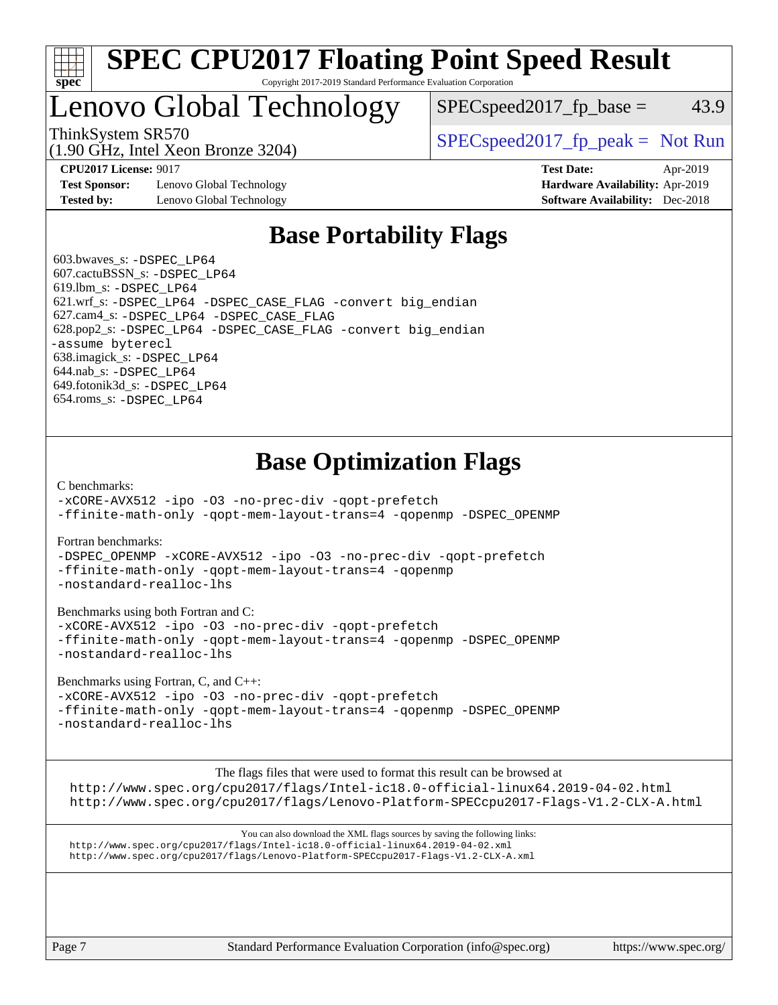

## **[SPEC CPU2017 Floating Point Speed Result](http://www.spec.org/auto/cpu2017/Docs/result-fields.html#SPECCPU2017FloatingPointSpeedResult)** Copyright 2017-2019 Standard Performance Evaluation Corporation

# Lenovo Global Technology

ThinkSystem SR570<br>  $\begin{array}{c|c}\n\text{SPEC speed2017\_fp\_peak} = \text{Not Run}\n\end{array}$  $SPEC speed2017_fp\_base = 43.9$ 

(1.90 GHz, Intel Xeon Bronze 3204)

**[Test Sponsor:](http://www.spec.org/auto/cpu2017/Docs/result-fields.html#TestSponsor)** Lenovo Global Technology **[Hardware Availability:](http://www.spec.org/auto/cpu2017/Docs/result-fields.html#HardwareAvailability)** Apr-2019 **[Tested by:](http://www.spec.org/auto/cpu2017/Docs/result-fields.html#Testedby)** Lenovo Global Technology **[Software Availability:](http://www.spec.org/auto/cpu2017/Docs/result-fields.html#SoftwareAvailability)** Dec-2018

**[CPU2017 License:](http://www.spec.org/auto/cpu2017/Docs/result-fields.html#CPU2017License)** 9017 **[Test Date:](http://www.spec.org/auto/cpu2017/Docs/result-fields.html#TestDate)** Apr-2019

# **[Base Portability Flags](http://www.spec.org/auto/cpu2017/Docs/result-fields.html#BasePortabilityFlags)**

 603.bwaves\_s: [-DSPEC\\_LP64](http://www.spec.org/cpu2017/results/res2019q2/cpu2017-20190430-13367.flags.html#suite_basePORTABILITY603_bwaves_s_DSPEC_LP64) 607.cactuBSSN\_s: [-DSPEC\\_LP64](http://www.spec.org/cpu2017/results/res2019q2/cpu2017-20190430-13367.flags.html#suite_basePORTABILITY607_cactuBSSN_s_DSPEC_LP64) 619.lbm\_s: [-DSPEC\\_LP64](http://www.spec.org/cpu2017/results/res2019q2/cpu2017-20190430-13367.flags.html#suite_basePORTABILITY619_lbm_s_DSPEC_LP64) 621.wrf\_s: [-DSPEC\\_LP64](http://www.spec.org/cpu2017/results/res2019q2/cpu2017-20190430-13367.flags.html#suite_basePORTABILITY621_wrf_s_DSPEC_LP64) [-DSPEC\\_CASE\\_FLAG](http://www.spec.org/cpu2017/results/res2019q2/cpu2017-20190430-13367.flags.html#b621.wrf_s_baseCPORTABILITY_DSPEC_CASE_FLAG) [-convert big\\_endian](http://www.spec.org/cpu2017/results/res2019q2/cpu2017-20190430-13367.flags.html#user_baseFPORTABILITY621_wrf_s_convert_big_endian_c3194028bc08c63ac5d04de18c48ce6d347e4e562e8892b8bdbdc0214820426deb8554edfa529a3fb25a586e65a3d812c835984020483e7e73212c4d31a38223) 627.cam4\_s: [-DSPEC\\_LP64](http://www.spec.org/cpu2017/results/res2019q2/cpu2017-20190430-13367.flags.html#suite_basePORTABILITY627_cam4_s_DSPEC_LP64) [-DSPEC\\_CASE\\_FLAG](http://www.spec.org/cpu2017/results/res2019q2/cpu2017-20190430-13367.flags.html#b627.cam4_s_baseCPORTABILITY_DSPEC_CASE_FLAG) 628.pop2\_s: [-DSPEC\\_LP64](http://www.spec.org/cpu2017/results/res2019q2/cpu2017-20190430-13367.flags.html#suite_basePORTABILITY628_pop2_s_DSPEC_LP64) [-DSPEC\\_CASE\\_FLAG](http://www.spec.org/cpu2017/results/res2019q2/cpu2017-20190430-13367.flags.html#b628.pop2_s_baseCPORTABILITY_DSPEC_CASE_FLAG) [-convert big\\_endian](http://www.spec.org/cpu2017/results/res2019q2/cpu2017-20190430-13367.flags.html#user_baseFPORTABILITY628_pop2_s_convert_big_endian_c3194028bc08c63ac5d04de18c48ce6d347e4e562e8892b8bdbdc0214820426deb8554edfa529a3fb25a586e65a3d812c835984020483e7e73212c4d31a38223) [-assume byterecl](http://www.spec.org/cpu2017/results/res2019q2/cpu2017-20190430-13367.flags.html#user_baseFPORTABILITY628_pop2_s_assume_byterecl_7e47d18b9513cf18525430bbf0f2177aa9bf368bc7a059c09b2c06a34b53bd3447c950d3f8d6c70e3faf3a05c8557d66a5798b567902e8849adc142926523472) 638.imagick\_s: [-DSPEC\\_LP64](http://www.spec.org/cpu2017/results/res2019q2/cpu2017-20190430-13367.flags.html#suite_basePORTABILITY638_imagick_s_DSPEC_LP64) 644.nab\_s: [-DSPEC\\_LP64](http://www.spec.org/cpu2017/results/res2019q2/cpu2017-20190430-13367.flags.html#suite_basePORTABILITY644_nab_s_DSPEC_LP64) 649.fotonik3d\_s: [-DSPEC\\_LP64](http://www.spec.org/cpu2017/results/res2019q2/cpu2017-20190430-13367.flags.html#suite_basePORTABILITY649_fotonik3d_s_DSPEC_LP64) 654.roms\_s: [-DSPEC\\_LP64](http://www.spec.org/cpu2017/results/res2019q2/cpu2017-20190430-13367.flags.html#suite_basePORTABILITY654_roms_s_DSPEC_LP64)

# **[Base Optimization Flags](http://www.spec.org/auto/cpu2017/Docs/result-fields.html#BaseOptimizationFlags)**

[C benchmarks](http://www.spec.org/auto/cpu2017/Docs/result-fields.html#Cbenchmarks):

[-xCORE-AVX512](http://www.spec.org/cpu2017/results/res2019q2/cpu2017-20190430-13367.flags.html#user_CCbase_f-xCORE-AVX512) [-ipo](http://www.spec.org/cpu2017/results/res2019q2/cpu2017-20190430-13367.flags.html#user_CCbase_f-ipo) [-O3](http://www.spec.org/cpu2017/results/res2019q2/cpu2017-20190430-13367.flags.html#user_CCbase_f-O3) [-no-prec-div](http://www.spec.org/cpu2017/results/res2019q2/cpu2017-20190430-13367.flags.html#user_CCbase_f-no-prec-div) [-qopt-prefetch](http://www.spec.org/cpu2017/results/res2019q2/cpu2017-20190430-13367.flags.html#user_CCbase_f-qopt-prefetch) [-ffinite-math-only](http://www.spec.org/cpu2017/results/res2019q2/cpu2017-20190430-13367.flags.html#user_CCbase_f_finite_math_only_cb91587bd2077682c4b38af759c288ed7c732db004271a9512da14a4f8007909a5f1427ecbf1a0fb78ff2a814402c6114ac565ca162485bbcae155b5e4258871) [-qopt-mem-layout-trans=4](http://www.spec.org/cpu2017/results/res2019q2/cpu2017-20190430-13367.flags.html#user_CCbase_f-qopt-mem-layout-trans_fa39e755916c150a61361b7846f310bcdf6f04e385ef281cadf3647acec3f0ae266d1a1d22d972a7087a248fd4e6ca390a3634700869573d231a252c784941a8) [-qopenmp](http://www.spec.org/cpu2017/results/res2019q2/cpu2017-20190430-13367.flags.html#user_CCbase_qopenmp_16be0c44f24f464004c6784a7acb94aca937f053568ce72f94b139a11c7c168634a55f6653758ddd83bcf7b8463e8028bb0b48b77bcddc6b78d5d95bb1df2967) [-DSPEC\\_OPENMP](http://www.spec.org/cpu2017/results/res2019q2/cpu2017-20190430-13367.flags.html#suite_CCbase_DSPEC_OPENMP)

[Fortran benchmarks](http://www.spec.org/auto/cpu2017/Docs/result-fields.html#Fortranbenchmarks):

[-DSPEC\\_OPENMP](http://www.spec.org/cpu2017/results/res2019q2/cpu2017-20190430-13367.flags.html#suite_FCbase_DSPEC_OPENMP) [-xCORE-AVX512](http://www.spec.org/cpu2017/results/res2019q2/cpu2017-20190430-13367.flags.html#user_FCbase_f-xCORE-AVX512) [-ipo](http://www.spec.org/cpu2017/results/res2019q2/cpu2017-20190430-13367.flags.html#user_FCbase_f-ipo) [-O3](http://www.spec.org/cpu2017/results/res2019q2/cpu2017-20190430-13367.flags.html#user_FCbase_f-O3) [-no-prec-div](http://www.spec.org/cpu2017/results/res2019q2/cpu2017-20190430-13367.flags.html#user_FCbase_f-no-prec-div) [-qopt-prefetch](http://www.spec.org/cpu2017/results/res2019q2/cpu2017-20190430-13367.flags.html#user_FCbase_f-qopt-prefetch) [-ffinite-math-only](http://www.spec.org/cpu2017/results/res2019q2/cpu2017-20190430-13367.flags.html#user_FCbase_f_finite_math_only_cb91587bd2077682c4b38af759c288ed7c732db004271a9512da14a4f8007909a5f1427ecbf1a0fb78ff2a814402c6114ac565ca162485bbcae155b5e4258871) [-qopt-mem-layout-trans=4](http://www.spec.org/cpu2017/results/res2019q2/cpu2017-20190430-13367.flags.html#user_FCbase_f-qopt-mem-layout-trans_fa39e755916c150a61361b7846f310bcdf6f04e385ef281cadf3647acec3f0ae266d1a1d22d972a7087a248fd4e6ca390a3634700869573d231a252c784941a8) [-qopenmp](http://www.spec.org/cpu2017/results/res2019q2/cpu2017-20190430-13367.flags.html#user_FCbase_qopenmp_16be0c44f24f464004c6784a7acb94aca937f053568ce72f94b139a11c7c168634a55f6653758ddd83bcf7b8463e8028bb0b48b77bcddc6b78d5d95bb1df2967) [-nostandard-realloc-lhs](http://www.spec.org/cpu2017/results/res2019q2/cpu2017-20190430-13367.flags.html#user_FCbase_f_2003_std_realloc_82b4557e90729c0f113870c07e44d33d6f5a304b4f63d4c15d2d0f1fab99f5daaed73bdb9275d9ae411527f28b936061aa8b9c8f2d63842963b95c9dd6426b8a)

[Benchmarks using both Fortran and C](http://www.spec.org/auto/cpu2017/Docs/result-fields.html#BenchmarksusingbothFortranandC):

[-xCORE-AVX512](http://www.spec.org/cpu2017/results/res2019q2/cpu2017-20190430-13367.flags.html#user_CC_FCbase_f-xCORE-AVX512) [-ipo](http://www.spec.org/cpu2017/results/res2019q2/cpu2017-20190430-13367.flags.html#user_CC_FCbase_f-ipo) [-O3](http://www.spec.org/cpu2017/results/res2019q2/cpu2017-20190430-13367.flags.html#user_CC_FCbase_f-O3) [-no-prec-div](http://www.spec.org/cpu2017/results/res2019q2/cpu2017-20190430-13367.flags.html#user_CC_FCbase_f-no-prec-div) [-qopt-prefetch](http://www.spec.org/cpu2017/results/res2019q2/cpu2017-20190430-13367.flags.html#user_CC_FCbase_f-qopt-prefetch) [-ffinite-math-only](http://www.spec.org/cpu2017/results/res2019q2/cpu2017-20190430-13367.flags.html#user_CC_FCbase_f_finite_math_only_cb91587bd2077682c4b38af759c288ed7c732db004271a9512da14a4f8007909a5f1427ecbf1a0fb78ff2a814402c6114ac565ca162485bbcae155b5e4258871) [-qopt-mem-layout-trans=4](http://www.spec.org/cpu2017/results/res2019q2/cpu2017-20190430-13367.flags.html#user_CC_FCbase_f-qopt-mem-layout-trans_fa39e755916c150a61361b7846f310bcdf6f04e385ef281cadf3647acec3f0ae266d1a1d22d972a7087a248fd4e6ca390a3634700869573d231a252c784941a8) [-qopenmp](http://www.spec.org/cpu2017/results/res2019q2/cpu2017-20190430-13367.flags.html#user_CC_FCbase_qopenmp_16be0c44f24f464004c6784a7acb94aca937f053568ce72f94b139a11c7c168634a55f6653758ddd83bcf7b8463e8028bb0b48b77bcddc6b78d5d95bb1df2967) [-DSPEC\\_OPENMP](http://www.spec.org/cpu2017/results/res2019q2/cpu2017-20190430-13367.flags.html#suite_CC_FCbase_DSPEC_OPENMP) [-nostandard-realloc-lhs](http://www.spec.org/cpu2017/results/res2019q2/cpu2017-20190430-13367.flags.html#user_CC_FCbase_f_2003_std_realloc_82b4557e90729c0f113870c07e44d33d6f5a304b4f63d4c15d2d0f1fab99f5daaed73bdb9275d9ae411527f28b936061aa8b9c8f2d63842963b95c9dd6426b8a)

[Benchmarks using Fortran, C, and C++:](http://www.spec.org/auto/cpu2017/Docs/result-fields.html#BenchmarksusingFortranCandCXX)

[-xCORE-AVX512](http://www.spec.org/cpu2017/results/res2019q2/cpu2017-20190430-13367.flags.html#user_CC_CXX_FCbase_f-xCORE-AVX512) [-ipo](http://www.spec.org/cpu2017/results/res2019q2/cpu2017-20190430-13367.flags.html#user_CC_CXX_FCbase_f-ipo) [-O3](http://www.spec.org/cpu2017/results/res2019q2/cpu2017-20190430-13367.flags.html#user_CC_CXX_FCbase_f-O3) [-no-prec-div](http://www.spec.org/cpu2017/results/res2019q2/cpu2017-20190430-13367.flags.html#user_CC_CXX_FCbase_f-no-prec-div) [-qopt-prefetch](http://www.spec.org/cpu2017/results/res2019q2/cpu2017-20190430-13367.flags.html#user_CC_CXX_FCbase_f-qopt-prefetch) [-ffinite-math-only](http://www.spec.org/cpu2017/results/res2019q2/cpu2017-20190430-13367.flags.html#user_CC_CXX_FCbase_f_finite_math_only_cb91587bd2077682c4b38af759c288ed7c732db004271a9512da14a4f8007909a5f1427ecbf1a0fb78ff2a814402c6114ac565ca162485bbcae155b5e4258871) [-qopt-mem-layout-trans=4](http://www.spec.org/cpu2017/results/res2019q2/cpu2017-20190430-13367.flags.html#user_CC_CXX_FCbase_f-qopt-mem-layout-trans_fa39e755916c150a61361b7846f310bcdf6f04e385ef281cadf3647acec3f0ae266d1a1d22d972a7087a248fd4e6ca390a3634700869573d231a252c784941a8) [-qopenmp](http://www.spec.org/cpu2017/results/res2019q2/cpu2017-20190430-13367.flags.html#user_CC_CXX_FCbase_qopenmp_16be0c44f24f464004c6784a7acb94aca937f053568ce72f94b139a11c7c168634a55f6653758ddd83bcf7b8463e8028bb0b48b77bcddc6b78d5d95bb1df2967) [-DSPEC\\_OPENMP](http://www.spec.org/cpu2017/results/res2019q2/cpu2017-20190430-13367.flags.html#suite_CC_CXX_FCbase_DSPEC_OPENMP) [-nostandard-realloc-lhs](http://www.spec.org/cpu2017/results/res2019q2/cpu2017-20190430-13367.flags.html#user_CC_CXX_FCbase_f_2003_std_realloc_82b4557e90729c0f113870c07e44d33d6f5a304b4f63d4c15d2d0f1fab99f5daaed73bdb9275d9ae411527f28b936061aa8b9c8f2d63842963b95c9dd6426b8a)

The flags files that were used to format this result can be browsed at

<http://www.spec.org/cpu2017/flags/Intel-ic18.0-official-linux64.2019-04-02.html> <http://www.spec.org/cpu2017/flags/Lenovo-Platform-SPECcpu2017-Flags-V1.2-CLX-A.html>

You can also download the XML flags sources by saving the following links: <http://www.spec.org/cpu2017/flags/Intel-ic18.0-official-linux64.2019-04-02.xml> <http://www.spec.org/cpu2017/flags/Lenovo-Platform-SPECcpu2017-Flags-V1.2-CLX-A.xml>